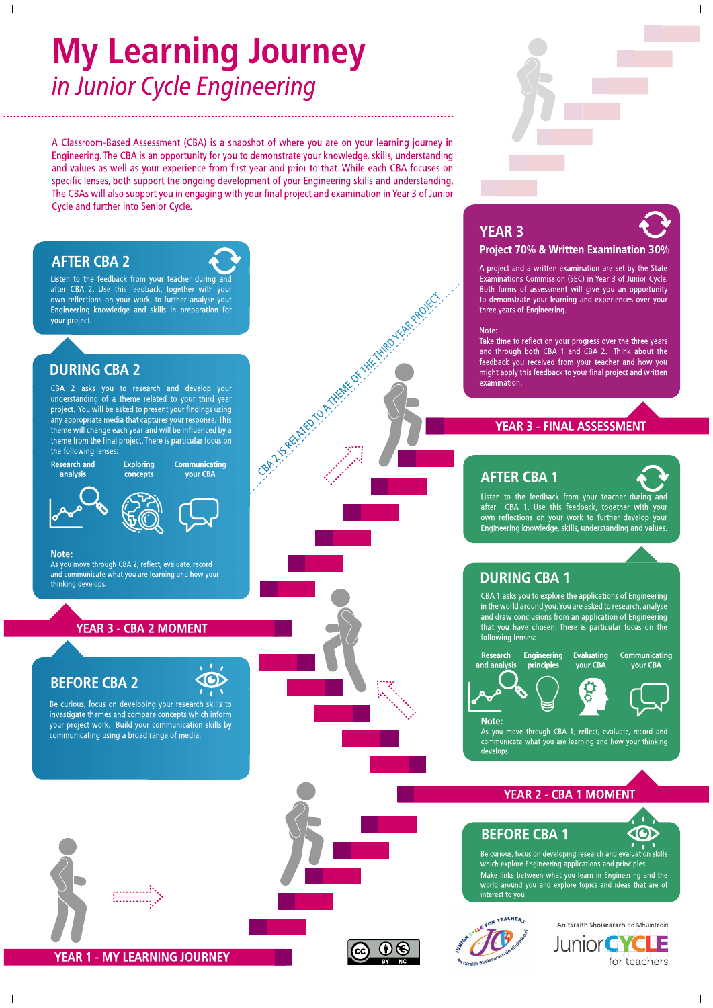# **My Learning Journey** in Junior Cycle Engineering

A Classroom-Based Assessment (CBA) is a snapshot of where you are on your learning journey in Engineering. The CBA is an opportunity for you to demonstrate your knowledge, skills, understanding and values as well as your experience from first year and prior to that. While each CBA focuses on specific lenses, both support the ongoing development of your Engineering skills and understanding. The CBAs will also support you in engaging with your final project and examination in Year 3 of Junior Cycle and further into Senior Cycle.

**BALLARIANO O ATHENE OF THE THINK OF BARROLLE** 

# **AFTER CBA 2**

Listen to the feedback from your teacher during an after CBA 2. Use this feedback, together with your own reflections on your work, to further analyse your Engineering knowledge and skills in preparation for your project.

# **DURING CBA 2**

CBA 2 asks you to research and develop your understanding of a theme related to your third year project. You will be asked to present your findings using any appropriate media that captures your response. This the will change each year and will be influenced by a<br>theme will change each year and will be influenced by a<br>theme from the final project. There is particular focus on the following lenses

**Research and** analysis

Communicating **Exploring** your CBA concepts





Note:

As you move through CBA 2, reflect, evaluate, record and communicate what you are learning and how your thinking develops

# **YEAR 3 - CBA 2 MOMENT**

# **BEFORE CBA 2**

Be curious, focus on developing your research skills to investigate themes and compare concepts which inform<br>your project work. Build your communication skills by communicating using a broad range of media.







interest to you.





# **YEAR 3**



A project and a written examination are set by the State Examinations Commission (SEC) in Year 3 of Junior Cycle. Both forms of assessment will give you an opportunity to demonstrate your learning and experiences over your three vears of Engineering.

# Note:

Take time to reflect on your progress over the three years and through both CBA 1 and CBA 2. Think about the feedback you received from your teacher and how you might apply this feedback to your final project and written examination

# **YEAR 3 - FINAL ASSESSMENT**

# **AFTER CBA 1**

Listen to the feedback from your teacher during and after CBA 1. Use this feedback, together with your own reflections on your work to further develop your<br>Engineering knowledge, skills, understanding and values.

# **DURING CBA 1**

CBA 1 asks you to explore the applications of Engineering in the world around you. You are asked to research, analyse and draw conclusions from an application of Engineering that you have chosen. There is particular focus on the following lenses:

**Evaluating** 

vour CBA







Communicating

vour CBA

# Note:

As you move through CBA 1, reflect, evaluate, record and communicate what you are learning and how your thinking develops

# **YEAR 2 - CBA 1 MOMENT**

# **BEFORE CBA 1**  $\overline{B}$  e curious, focus on developing research and evaluation skills

which explore Engineering applications and principles. Make links between what you learn in Engineering and the<br>world around you and explore topics and ideas that are of

**COD**